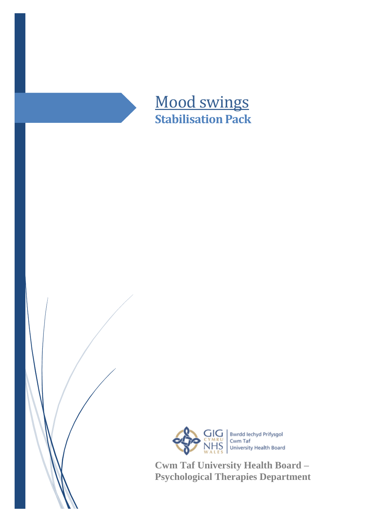



**Cwm Taf University Health Board – Psychological Therapies Department**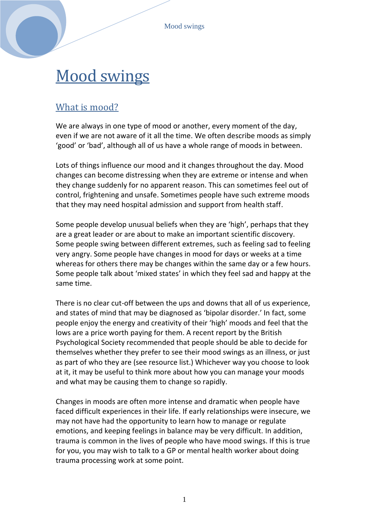Mood swings

# Mood swings

# What is mood?

We are always in one type of mood or another, every moment of the day, even if we are not aware of it all the time. We often describe moods as simply 'good' or 'bad', although all of us have a whole range of moods in between.

Lots of things influence our mood and it changes throughout the day. Mood changes can become distressing when they are extreme or intense and when they change suddenly for no apparent reason. This can sometimes feel out of control, frightening and unsafe. Sometimes people have such extreme moods that they may need hospital admission and support from health staff.

Some people develop unusual beliefs when they are 'high', perhaps that they are a great leader or are about to make an important scientific discovery. Some people swing between different extremes, such as feeling sad to feeling very angry. Some people have changes in mood for days or weeks at a time whereas for others there may be changes within the same day or a few hours. Some people talk about 'mixed states' in which they feel sad and happy at the same time.

There is no clear cut-off between the ups and downs that all of us experience, and states of mind that may be diagnosed as 'bipolar disorder.' In fact, some people enjoy the energy and creativity of their 'high' moods and feel that the lows are a price worth paying for them. A recent report by the British Psychological Society recommended that people should be able to decide for themselves whether they prefer to see their mood swings as an illness, or just as part of who they are (see resource list.) Whichever way you choose to look at it, it may be useful to think more about how you can manage your moods and what may be causing them to change so rapidly.

Changes in moods are often more intense and dramatic when people have faced difficult experiences in their life. If early relationships were insecure, we may not have had the opportunity to learn how to manage or regulate emotions, and keeping feelings in balance may be very difficult. In addition, trauma is common in the lives of people who have mood swings. If this is true for you, you may wish to talk to a GP or mental health worker about doing trauma processing work at some point.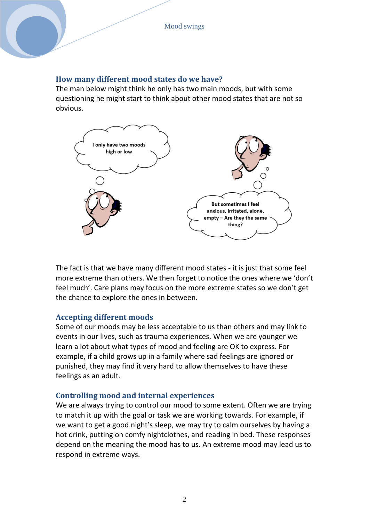#### **How many different mood states do we have?**

The man below might think he only has two main moods, but with some questioning he might start to think about other mood states that are not so obvious.



The fact is that we have many different mood states - it is just that some feel more extreme than others. We then forget to notice the ones where we 'don't feel much'. Care plans may focus on the more extreme states so we don't get the chance to explore the ones in between.

#### **Accepting different moods**

Some of our moods may be less acceptable to us than others and may link to events in our lives, such as trauma experiences. When we are younger we learn a lot about what types of mood and feeling are OK to express. For example, if a child grows up in a family where sad feelings are ignored or punished, they may find it very hard to allow themselves to have these feelings as an adult.

## **Controlling mood and internal experiences**

We are always trying to control our mood to some extent. Often we are trying to match it up with the goal or task we are working towards. For example, if we want to get a good night's sleep, we may try to calm ourselves by having a hot drink, putting on comfy nightclothes, and reading in bed. These responses depend on the meaning the mood has to us. An extreme mood may lead us to respond in extreme ways.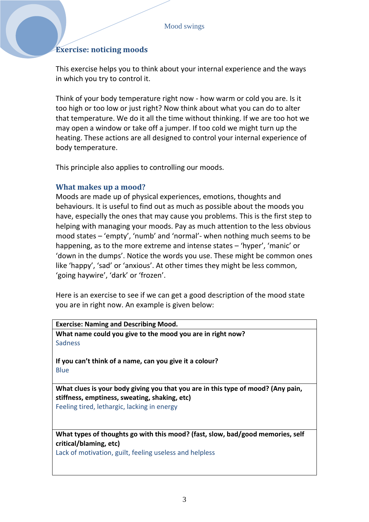# **Exercise: noticing moods**

This exercise helps you to think about your internal experience and the ways in which you try to control it.

Think of your body temperature right now - how warm or cold you are. Is it too high or too low or just right? Now think about what you can do to alter that temperature. We do it all the time without thinking. If we are too hot we may open a window or take off a jumper. If too cold we might turn up the heating. These actions are all designed to control your internal experience of body temperature.

This principle also applies to controlling our moods.

#### **What makes up a mood?**

Moods are made up of physical experiences, emotions, thoughts and behaviours. It is useful to find out as much as possible about the moods you have, especially the ones that may cause you problems. This is the first step to helping with managing your moods. Pay as much attention to the less obvious mood states – 'empty', 'numb' and 'normal'- when nothing much seems to be happening, as to the more extreme and intense states – 'hyper', 'manic' or 'down in the dumps'. Notice the words you use. These might be common ones like 'happy', 'sad' or 'anxious'. At other times they might be less common, 'going haywire', 'dark' or 'frozen'.

Here is an exercise to see if we can get a good description of the mood state you are in right now. An example is given below:

**Exercise: Naming and Describing Mood. What name could you give to the mood you are in right now?**  Sadness

**If you can't think of a name, can you give it a colour?** Blue

**What clues is your body giving you that you are in this type of mood? (Any pain, stiffness, emptiness, sweating, shaking, etc)** Feeling tired, lethargic, lacking in energy

**What types of thoughts go with this mood? (fast, slow, bad/good memories, self critical/blaming, etc)** 

Lack of motivation, guilt, feeling useless and helpless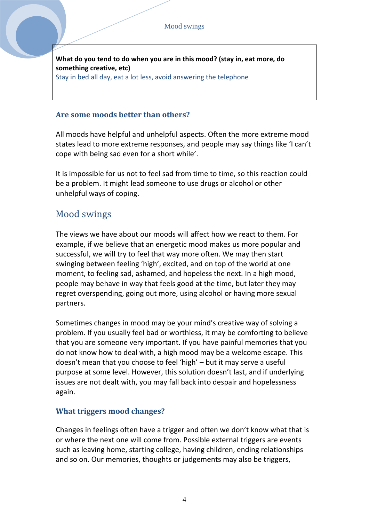**What do you tend to do when you are in this mood? (stay in, eat more, do something creative, etc)** Stay in bed all day, eat a lot less, avoid answering the telephone

## **Are some moods better than others?**

All moods have helpful and unhelpful aspects. Often the more extreme mood states lead to more extreme responses, and people may say things like 'I can't cope with being sad even for a short while'.

It is impossible for us not to feel sad from time to time, so this reaction could be a problem. It might lead someone to use drugs or alcohol or other unhelpful ways of coping.

# Mood swings

The views we have about our moods will affect how we react to them. For example, if we believe that an energetic mood makes us more popular and successful, we will try to feel that way more often. We may then start swinging between feeling 'high', excited, and on top of the world at one moment, to feeling sad, ashamed, and hopeless the next. In a high mood, people may behave in way that feels good at the time, but later they may regret overspending, going out more, using alcohol or having more sexual partners.

Sometimes changes in mood may be your mind's creative way of solving a problem. If you usually feel bad or worthless, it may be comforting to believe that you are someone very important. If you have painful memories that you do not know how to deal with, a high mood may be a welcome escape. This doesn't mean that you choose to feel 'high' – but it may serve a useful purpose at some level. However, this solution doesn't last, and if underlying issues are not dealt with, you may fall back into despair and hopelessness again.

## **What triggers mood changes?**

Changes in feelings often have a trigger and often we don't know what that is or where the next one will come from. Possible external triggers are events such as leaving home, starting college, having children, ending relationships and so on. Our memories, thoughts or judgements may also be triggers,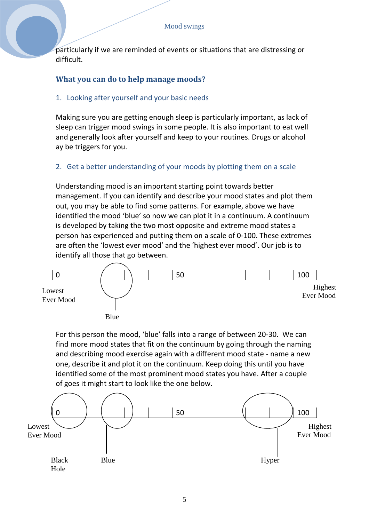particularly if we are reminded of events or situations that are distressing or difficult.

# **What you can do to help manage moods?**

## 1. Looking after yourself and your basic needs

Making sure you are getting enough sleep is particularly important, as lack of sleep can trigger mood swings in some people. It is also important to eat well and generally look after yourself and keep to your routines. Drugs or alcohol ay be triggers for you.

## 2. Get a better understanding of your moods by plotting them on a scale

Understanding mood is an important starting point towards better management. If you can identify and describe your mood states and plot them out, you may be able to find some patterns. For example, above we have identified the mood 'blue' so now we can plot it in a continuum. A continuum is developed by taking the two most opposite and extreme mood states a person has experienced and putting them on a scale of 0-100. These extremes are often the 'lowest ever mood' and the 'highest ever mood'. Our job is to identify all those that go between.



For this person the mood, 'blue' falls into a range of between 20-30. We can find more mood states that fit on the continuum by going through the naming and describing mood exercise again with a different mood state - name a new one, describe it and plot it on the continuum. Keep doing this until you have identified some of the most prominent mood states you have. After a couple of goes it might start to look like the one below.